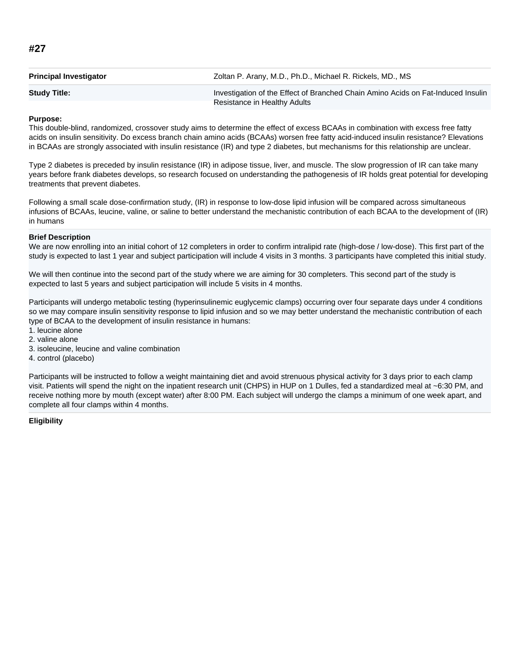| <b>Principal Investigator</b> | Zoltan P. Arany, M.D., Ph.D., Michael R. Rickels, MD., MS                        |
|-------------------------------|----------------------------------------------------------------------------------|
| <b>Study Title:</b>           | Investigation of the Effect of Branched Chain Amino Acids on Fat-Induced Insulin |
|                               | Resistance in Healthy Adults                                                     |

# **Purpose:**

This double-blind, randomized, crossover study aims to determine the effect of excess BCAAs in combination with excess free fatty acids on insulin sensitivity. Do excess branch chain amino acids (BCAAs) worsen free fatty acid-induced insulin resistance? Elevations in BCAAs are strongly associated with insulin resistance (IR) and type 2 diabetes, but mechanisms for this relationship are unclear.

Type 2 diabetes is preceded by insulin resistance (IR) in adipose tissue, liver, and muscle. The slow progression of IR can take many years before frank diabetes develops, so research focused on understanding the pathogenesis of IR holds great potential for developing treatments that prevent diabetes.

Following a small scale dose-confirmation study, (IR) in response to low-dose lipid infusion will be compared across simultaneous infusions of BCAAs, leucine, valine, or saline to better understand the mechanistic contribution of each BCAA to the development of (IR) in humans

## **Brief Description**

We are now enrolling into an initial cohort of 12 completers in order to confirm intralipid rate (high-dose / low-dose). This first part of the study is expected to last 1 year and subject participation will include 4 visits in 3 months. 3 participants have completed this initial study.

We will then continue into the second part of the study where we are aiming for 30 completers. This second part of the study is expected to last 5 years and subject participation will include 5 visits in 4 months.

Participants will undergo metabolic testing (hyperinsulinemic euglycemic clamps) occurring over four separate days under 4 conditions so we may compare insulin sensitivity response to lipid infusion and so we may better understand the mechanistic contribution of each type of BCAA to the development of insulin resistance in humans:

- 1. leucine alone
- 2. valine alone
- 3. isoleucine, leucine and valine combination
- 4. control (placebo)

Participants will be instructed to follow a weight maintaining diet and avoid strenuous physical activity for 3 days prior to each clamp visit. Patients will spend the night on the inpatient research unit (CHPS) in HUP on 1 Dulles, fed a standardized meal at ~6:30 PM, and receive nothing more by mouth (except water) after 8:00 PM. Each subject will undergo the clamps a minimum of one week apart, and complete all four clamps within 4 months.

## **Eligibility**

# **#27**